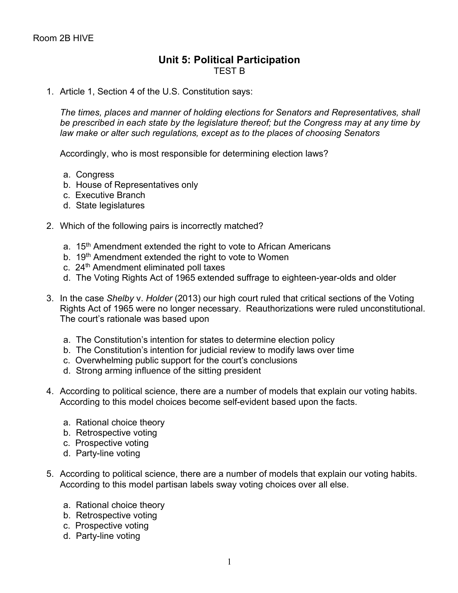## **Unit 5: Political Participation** TEST B

## 1. Article 1, Section 4 of the U.S. Constitution says:

*The times, places and manner of holding elections for Senators and Representatives, shall be prescribed in each state by the legislature thereof; but the Congress may at any time by law make or alter such regulations, except as to the places of choosing Senators*

Accordingly, who is most responsible for determining election laws?

- a. Congress
- b. House of Representatives only
- c. Executive Branch
- d. State legislatures
- 2. Which of the following pairs is incorrectly matched?
	- a. 15<sup>th</sup> Amendment extended the right to vote to African Americans
	- b. 19<sup>th</sup> Amendment extended the right to vote to Women
	- c. 24<sup>th</sup> Amendment eliminated poll taxes
	- d. The Voting Rights Act of 1965 extended suffrage to eighteen-year-olds and older
- 3. In the case *Shelby* v. *Holder* (2013) our high court ruled that critical sections of the Voting Rights Act of 1965 were no longer necessary. Reauthorizations were ruled unconstitutional. The court's rationale was based upon
	- a. The Constitution's intention for states to determine election policy
	- b. The Constitution's intention for judicial review to modify laws over time
	- c. Overwhelming public support for the court's conclusions
	- d. Strong arming influence of the sitting president
- 4. According to political science, there are a number of models that explain our voting habits. According to this model choices become self-evident based upon the facts.
	- a. Rational choice theory
	- b. Retrospective voting
	- c. Prospective voting
	- d. Party-line voting
- 5. According to political science, there are a number of models that explain our voting habits. According to this model partisan labels sway voting choices over all else.
	- a. Rational choice theory
	- b. Retrospective voting
	- c. Prospective voting
	- d. Party-line voting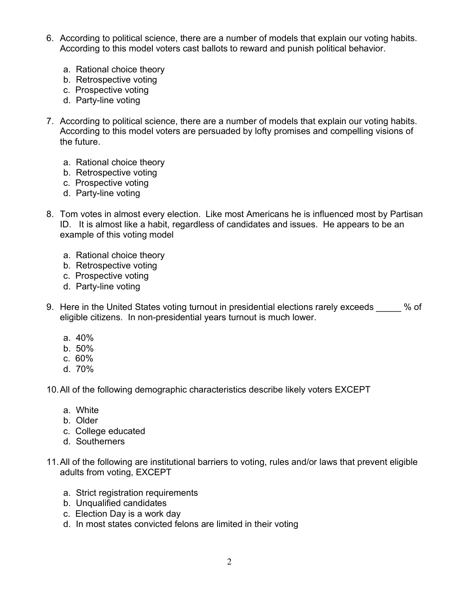- 6. According to political science, there are a number of models that explain our voting habits. According to this model voters cast ballots to reward and punish political behavior.
	- a. Rational choice theory
	- b. Retrospective voting
	- c. Prospective voting
	- d. Party-line voting
- 7. According to political science, there are a number of models that explain our voting habits. According to this model voters are persuaded by lofty promises and compelling visions of the future.
	- a. Rational choice theory
	- b. Retrospective voting
	- c. Prospective voting
	- d. Party-line voting
- 8. Tom votes in almost every election. Like most Americans he is influenced most by Partisan ID. It is almost like a habit, regardless of candidates and issues. He appears to be an example of this voting model
	- a. Rational choice theory
	- b. Retrospective voting
	- c. Prospective voting
	- d. Party-line voting
- 9. Here in the United States voting turnout in presidential elections rarely exceeds % of eligible citizens. In non-presidential years turnout is much lower.
	- a. 40%
	- b. 50%
	- c. 60%
	- d. 70%

10.All of the following demographic characteristics describe likely voters EXCEPT

- a. White
- b. Older
- c. College educated
- d. Southerners
- 11.All of the following are institutional barriers to voting, rules and/or laws that prevent eligible adults from voting, EXCEPT
	- a. Strict registration requirements
	- b. Unqualified candidates
	- c. Election Day is a work day
	- d. In most states convicted felons are limited in their voting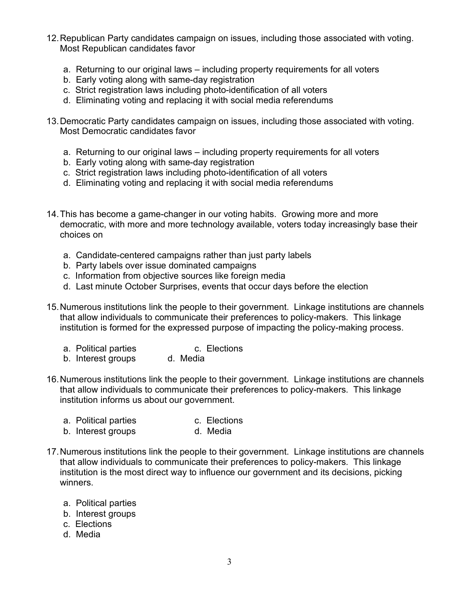- 12.Republican Party candidates campaign on issues, including those associated with voting. Most Republican candidates favor
	- a. Returning to our original laws including property requirements for all voters
	- b. Early voting along with same-day registration
	- c. Strict registration laws including photo-identification of all voters
	- d. Eliminating voting and replacing it with social media referendums
- 13.Democratic Party candidates campaign on issues, including those associated with voting. Most Democratic candidates favor
	- a. Returning to our original laws including property requirements for all voters
	- b. Early voting along with same-day registration
	- c. Strict registration laws including photo-identification of all voters
	- d. Eliminating voting and replacing it with social media referendums
- 14.This has become a game-changer in our voting habits. Growing more and more democratic, with more and more technology available, voters today increasingly base their choices on
	- a. Candidate-centered campaigns rather than just party labels
	- b. Party labels over issue dominated campaigns
	- c. Information from objective sources like foreign media
	- d. Last minute October Surprises, events that occur days before the election
- 15.Numerous institutions link the people to their government. Linkage institutions are channels that allow individuals to communicate their preferences to policy-makers. This linkage institution is formed for the expressed purpose of impacting the policy-making process.
	- a. Political parties and c. Elections
	- b. Interest groups d. Media
- 16.Numerous institutions link the people to their government. Linkage institutions are channels that allow individuals to communicate their preferences to policy-makers. This linkage institution informs us about our government.
	- a. Political parties c. Elections<br>b. Interest groups b. Media
	- b. Interest groups
- 17.Numerous institutions link the people to their government. Linkage institutions are channels that allow individuals to communicate their preferences to policy-makers. This linkage institution is the most direct way to influence our government and its decisions, picking winners.
	- a. Political parties
	- b. Interest groups
	- c. Elections
	- d. Media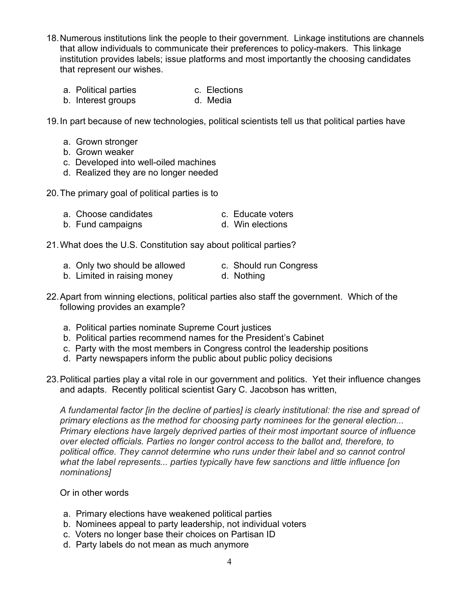- 18.Numerous institutions link the people to their government. Linkage institutions are channels that allow individuals to communicate their preferences to policy-makers. This linkage institution provides labels; issue platforms and most importantly the choosing candidates that represent our wishes.
	- a. Political parties entitled and c. Elections
	- b. Interest groups b. Media

19.In part because of new technologies, political scientists tell us that political parties have

- a. Grown stronger
- b. Grown weaker
- c. Developed into well-oiled machines
- d. Realized they are no longer needed

20.The primary goal of political parties is to

| a. Choose candidates | c. Educate voters |
|----------------------|-------------------|
|----------------------|-------------------|

b. Fund campaigns b. Fund campaigns d. Win elections

21.What does the U.S. Constitution say about political parties?

- a. Only two should be allowed c. Should run Congress
- b. Limited in raising money d. Nothing
- 22.Apart from winning elections, political parties also staff the government. Which of the following provides an example?
	- a. Political parties nominate Supreme Court justices
	- b. Political parties recommend names for the President's Cabinet
	- c. Party with the most members in Congress control the leadership positions
	- d. Party newspapers inform the public about public policy decisions
- 23.Political parties play a vital role in our government and politics. Yet their influence changes and adapts. Recently political scientist Gary C. Jacobson has written,

*A fundamental factor [in the decline of parties] is clearly institutional: the rise and spread of primary elections as the method for choosing party nominees for the general election... Primary elections have largely deprived parties of their most important source of influence over elected officials. Parties no longer control access to the ballot and, therefore, to political office. They cannot determine who runs under their label and so cannot control what the label represents... parties typically have few sanctions and little influence [on nominations]*

## Or in other words

- a. Primary elections have weakened political parties
- b. Nominees appeal to party leadership, not individual voters
- c. Voters no longer base their choices on Partisan ID
- d. Party labels do not mean as much anymore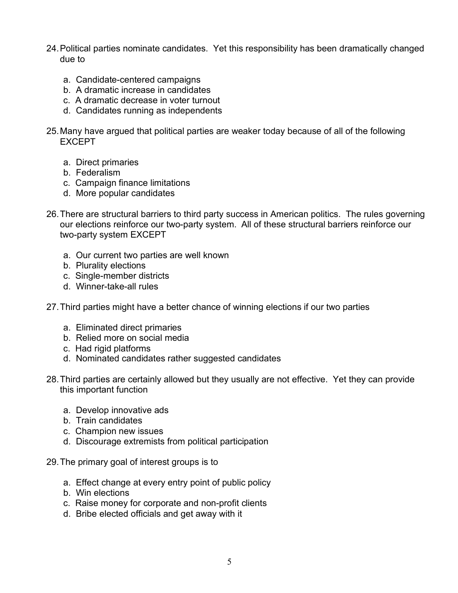- 24.Political parties nominate candidates. Yet this responsibility has been dramatically changed due to
	- a. Candidate-centered campaigns
	- b. A dramatic increase in candidates
	- c. A dramatic decrease in voter turnout
	- d. Candidates running as independents
- 25.Many have argued that political parties are weaker today because of all of the following EXCEPT
	- a. Direct primaries
	- b. Federalism
	- c. Campaign finance limitations
	- d. More popular candidates
- 26.There are structural barriers to third party success in American politics. The rules governing our elections reinforce our two-party system. All of these structural barriers reinforce our two-party system EXCEPT
	- a. Our current two parties are well known
	- b. Plurality elections
	- c. Single-member districts
	- d. Winner-take-all rules
- 27.Third parties might have a better chance of winning elections if our two parties
	- a. Eliminated direct primaries
	- b. Relied more on social media
	- c. Had rigid platforms
	- d. Nominated candidates rather suggested candidates
- 28.Third parties are certainly allowed but they usually are not effective. Yet they can provide this important function
	- a. Develop innovative ads
	- b. Train candidates
	- c. Champion new issues
	- d. Discourage extremists from political participation
- 29.The primary goal of interest groups is to
	- a. Effect change at every entry point of public policy
	- b. Win elections
	- c. Raise money for corporate and non-profit clients
	- d. Bribe elected officials and get away with it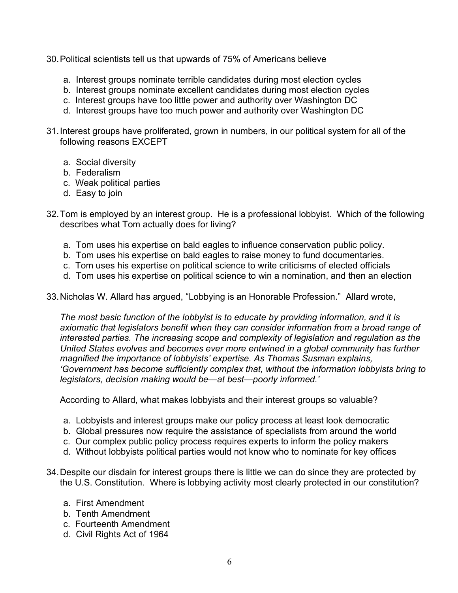- 30.Political scientists tell us that upwards of 75% of Americans believe
	- a. Interest groups nominate terrible candidates during most election cycles
	- b. Interest groups nominate excellent candidates during most election cycles
	- c. Interest groups have too little power and authority over Washington DC
	- d. Interest groups have too much power and authority over Washington DC
- 31.Interest groups have proliferated, grown in numbers, in our political system for all of the following reasons EXCEPT
	- a. Social diversity
	- b. Federalism
	- c. Weak political parties
	- d. Easy to join
- 32.Tom is employed by an interest group. He is a professional lobbyist. Which of the following describes what Tom actually does for living?
	- a. Tom uses his expertise on bald eagles to influence conservation public policy.
	- b. Tom uses his expertise on bald eagles to raise money to fund documentaries.
	- c. Tom uses his expertise on political science to write criticisms of elected officials
	- d. Tom uses his expertise on political science to win a nomination, and then an election

33.Nicholas W. Allard has argued, "Lobbying is an Honorable Profession." Allard wrote,

*The most basic function of the lobbyist is to educate by providing information, and it is axiomatic that legislators benefit when they can consider information from a broad range of interested parties. The increasing scope and complexity of legislation and regulation as the United States evolves and becomes ever more entwined in a global community has further magnified the importance of lobbyists' expertise. As Thomas Susman explains, 'Government has become sufficiently complex that, without the information lobbyists bring to legislators, decision making would be—at best—poorly informed.'*

According to Allard, what makes lobbyists and their interest groups so valuable?

- a. Lobbyists and interest groups make our policy process at least look democratic
- b. Global pressures now require the assistance of specialists from around the world
- c. Our complex public policy process requires experts to inform the policy makers
- d. Without lobbyists political parties would not know who to nominate for key offices
- 34.Despite our disdain for interest groups there is little we can do since they are protected by the U.S. Constitution. Where is lobbying activity most clearly protected in our constitution?
	- a. First Amendment
	- b. Tenth Amendment
	- c. Fourteenth Amendment
	- d. Civil Rights Act of 1964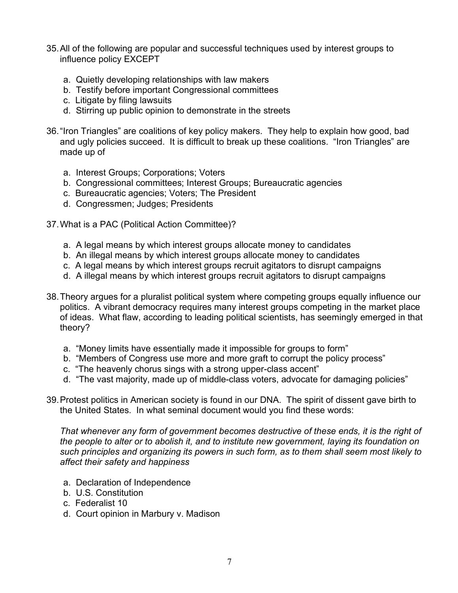- 35.All of the following are popular and successful techniques used by interest groups to influence policy EXCEPT
	- a. Quietly developing relationships with law makers
	- b. Testify before important Congressional committees
	- c. Litigate by filing lawsuits
	- d. Stirring up public opinion to demonstrate in the streets
- 36."Iron Triangles" are coalitions of key policy makers. They help to explain how good, bad and ugly policies succeed. It is difficult to break up these coalitions. "Iron Triangles" are made up of
	- a. Interest Groups; Corporations; Voters
	- b. Congressional committees; Interest Groups; Bureaucratic agencies
	- c. Bureaucratic agencies; Voters; The President
	- d. Congressmen; Judges; Presidents
- 37.What is a PAC (Political Action Committee)?
	- a. A legal means by which interest groups allocate money to candidates
	- b. An illegal means by which interest groups allocate money to candidates
	- c. A legal means by which interest groups recruit agitators to disrupt campaigns
	- d. A illegal means by which interest groups recruit agitators to disrupt campaigns
- 38.Theory argues for a pluralist political system where competing groups equally influence our politics. A vibrant democracy requires many interest groups competing in the market place of ideas. What flaw, according to leading political scientists, has seemingly emerged in that theory?
	- a. "Money limits have essentially made it impossible for groups to form"
	- b. "Members of Congress use more and more graft to corrupt the policy process"
	- c. "The heavenly chorus sings with a strong upper-class accent"
	- d. "The vast majority, made up of middle-class voters, advocate for damaging policies"
- 39.Protest politics in American society is found in our DNA. The spirit of dissent gave birth to the United States. In what seminal document would you find these words:

That whenever any form of government becomes destructive of these ends, it is the right of *the people to alter or to abolish it, and to institute new government, laying its foundation on such principles and organizing its powers in such form, as to them shall seem most likely to affect their safety and happiness*

- a. Declaration of Independence
- b. U.S. Constitution
- c. Federalist 10
- d. Court opinion in Marbury v. Madison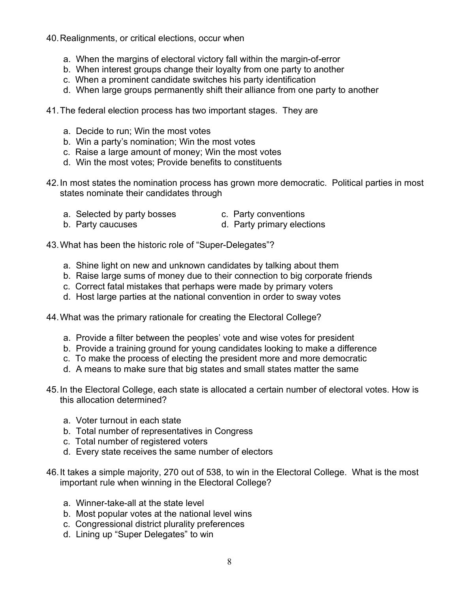## 40.Realignments, or critical elections, occur when

- a. When the margins of electoral victory fall within the margin-of-error
- b. When interest groups change their loyalty from one party to another
- c. When a prominent candidate switches his party identification
- d. When large groups permanently shift their alliance from one party to another
- 41.The federal election process has two important stages. They are
	- a. Decide to run; Win the most votes
	- b. Win a party's nomination; Win the most votes
	- c. Raise a large amount of money; Win the most votes
	- d. Win the most votes; Provide benefits to constituents
- 42.In most states the nomination process has grown more democratic. Political parties in most states nominate their candidates through
	- a. Selected by party bosses c. Party conventions
- 
- 
- b. Party caucuses b. Party primary elections

43.What has been the historic role of "Super-Delegates"?

- a. Shine light on new and unknown candidates by talking about them
- b. Raise large sums of money due to their connection to big corporate friends
- c. Correct fatal mistakes that perhaps were made by primary voters
- d. Host large parties at the national convention in order to sway votes

44.What was the primary rationale for creating the Electoral College?

- a. Provide a filter between the peoples' vote and wise votes for president
- b. Provide a training ground for young candidates looking to make a difference
- c. To make the process of electing the president more and more democratic
- d. A means to make sure that big states and small states matter the same
- 45.In the Electoral College, each state is allocated a certain number of electoral votes. How is this allocation determined?
	- a. Voter turnout in each state
	- b. Total number of representatives in Congress
	- c. Total number of registered voters
	- d. Every state receives the same number of electors
- 46.It takes a simple majority, 270 out of 538, to win in the Electoral College. What is the most important rule when winning in the Electoral College?
	- a. Winner-take-all at the state level
	- b. Most popular votes at the national level wins
	- c. Congressional district plurality preferences
	- d. Lining up "Super Delegates" to win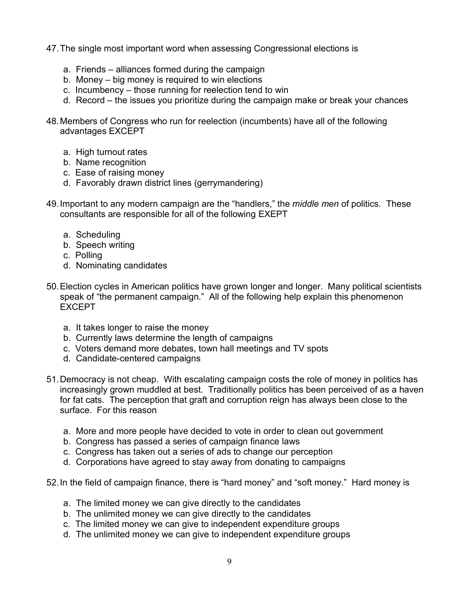- 47.The single most important word when assessing Congressional elections is
	- a. Friends alliances formed during the campaign
	- b. Money big money is required to win elections
	- c. Incumbency those running for reelection tend to win
	- d. Record the issues you prioritize during the campaign make or break your chances
- 48.Members of Congress who run for reelection (incumbents) have all of the following advantages EXCEPT
	- a. High turnout rates
	- b. Name recognition
	- c. Ease of raising money
	- d. Favorably drawn district lines (gerrymandering)
- 49.Important to any modern campaign are the "handlers," the *middle men* of politics. These consultants are responsible for all of the following EXEPT
	- a. Scheduling
	- b. Speech writing
	- c. Polling
	- d. Nominating candidates
- 50.Election cycles in American politics have grown longer and longer. Many political scientists speak of "the permanent campaign." All of the following help explain this phenomenon EXCEPT
	- a. It takes longer to raise the money
	- b. Currently laws determine the length of campaigns
	- c. Voters demand more debates, town hall meetings and TV spots
	- d. Candidate-centered campaigns
- 51.Democracy is not cheap. With escalating campaign costs the role of money in politics has increasingly grown muddled at best. Traditionally politics has been perceived of as a haven for fat cats. The perception that graft and corruption reign has always been close to the surface. For this reason
	- a. More and more people have decided to vote in order to clean out government
	- b. Congress has passed a series of campaign finance laws
	- c. Congress has taken out a series of ads to change our perception
	- d. Corporations have agreed to stay away from donating to campaigns
- 52.In the field of campaign finance, there is "hard money" and "soft money." Hard money is
	- a. The limited money we can give directly to the candidates
	- b. The unlimited money we can give directly to the candidates
	- c. The limited money we can give to independent expenditure groups
	- d. The unlimited money we can give to independent expenditure groups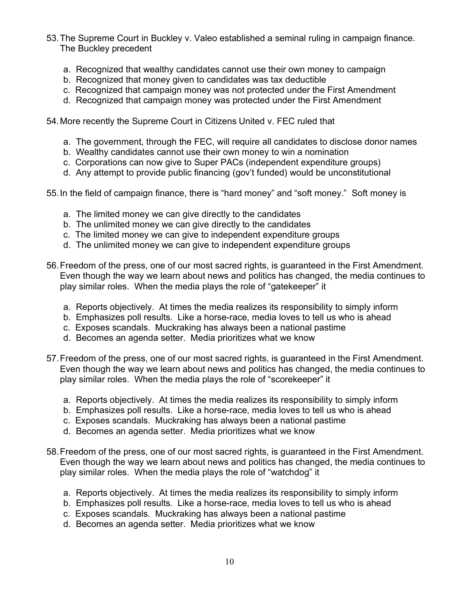- 53.The Supreme Court in Buckley v. Valeo established a seminal ruling in campaign finance. The Buckley precedent
	- a. Recognized that wealthy candidates cannot use their own money to campaign
	- b. Recognized that money given to candidates was tax deductible
	- c. Recognized that campaign money was not protected under the First Amendment
	- d. Recognized that campaign money was protected under the First Amendment

54.More recently the Supreme Court in Citizens United v. FEC ruled that

- a. The government, through the FEC, will require all candidates to disclose donor names
- b. Wealthy candidates cannot use their own money to win a nomination
- c. Corporations can now give to Super PACs (independent expenditure groups)
- d. Any attempt to provide public financing (gov't funded) would be unconstitutional
- 55.In the field of campaign finance, there is "hard money" and "soft money." Soft money is
	- a. The limited money we can give directly to the candidates
	- b. The unlimited money we can give directly to the candidates
	- c. The limited money we can give to independent expenditure groups
	- d. The unlimited money we can give to independent expenditure groups
- 56.Freedom of the press, one of our most sacred rights, is guaranteed in the First Amendment. Even though the way we learn about news and politics has changed, the media continues to play similar roles. When the media plays the role of "gatekeeper" it
	- a. Reports objectively. At times the media realizes its responsibility to simply inform
	- b. Emphasizes poll results. Like a horse-race, media loves to tell us who is ahead
	- c. Exposes scandals. Muckraking has always been a national pastime
	- d. Becomes an agenda setter. Media prioritizes what we know
- 57.Freedom of the press, one of our most sacred rights, is guaranteed in the First Amendment. Even though the way we learn about news and politics has changed, the media continues to play similar roles. When the media plays the role of "scorekeeper" it
	- a. Reports objectively. At times the media realizes its responsibility to simply inform
	- b. Emphasizes poll results. Like a horse-race, media loves to tell us who is ahead
	- c. Exposes scandals. Muckraking has always been a national pastime
	- d. Becomes an agenda setter. Media prioritizes what we know
- 58.Freedom of the press, one of our most sacred rights, is guaranteed in the First Amendment. Even though the way we learn about news and politics has changed, the media continues to play similar roles. When the media plays the role of "watchdog" it
	- a. Reports objectively. At times the media realizes its responsibility to simply inform
	- b. Emphasizes poll results. Like a horse-race, media loves to tell us who is ahead
	- c. Exposes scandals. Muckraking has always been a national pastime
	- d. Becomes an agenda setter. Media prioritizes what we know